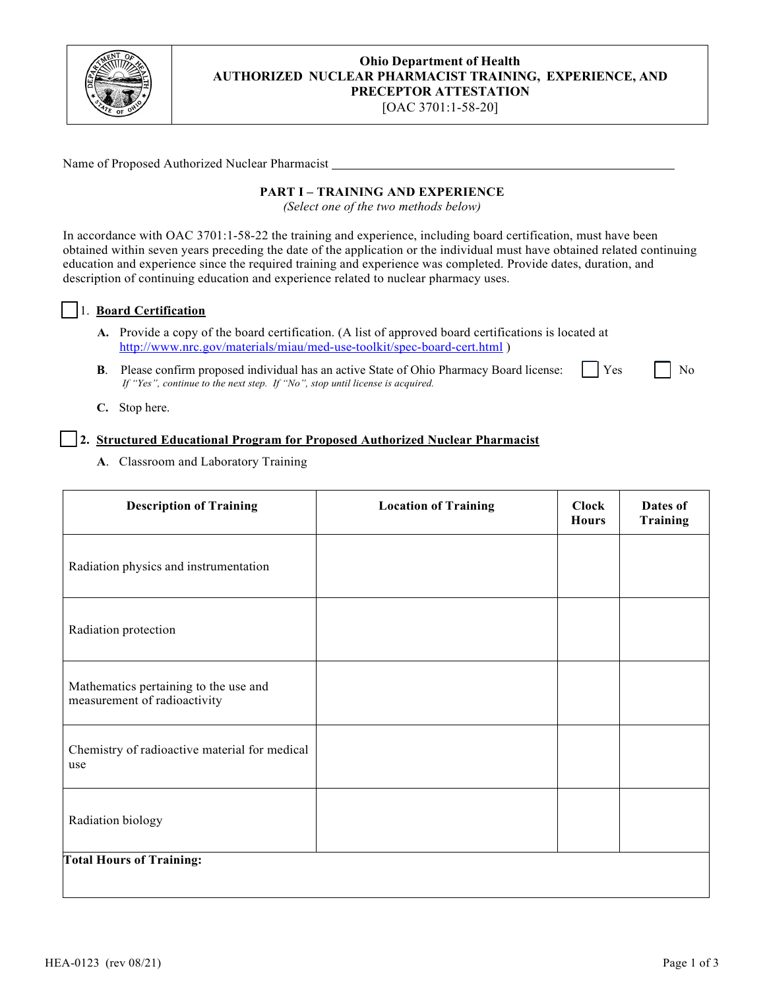

## **Ohio Department of Health AUTHORIZED NUCLEAR PHARMACIST TRAINING, EXPERIENCE, AND PRECEPTOR ATTESTATION**

[OAC 3701:1-58-20]

Name of Proposed Authorized Nuclear Pharmacist

#### **PART I – TRAINING AND EXPERIENCE**

*(Select one of the two methods below)*

In accordance with OAC 3701:1-58-22 the training and experience, including board certification, must have been obtained within seven years preceding the date of the application or the individual must have obtained related continuing education and experience since the required training and experience was completed. Provide dates, duration, and description of continuing education and experience related to nuclear pharmacy uses.

#### ☐ 1. **Board Certification**

- **A.** Provide a copy of the board certification. (A list of approved board certifications is located at <http://www.nrc.gov/materials/miau/med-use-toolkit/spec-board-cert.html> )
- **B**. Please confirm proposed individual has an active State of Ohio Pharmacy Board license: Yes No *If "Yes", continue to the next step. If "No", stop until license is acquired.*

**C.** Stop here.

## ☐ **2. Structured Educational Program for Proposed Authorized Nuclear Pharmacist**

**A**. Classroom and Laboratory Training

| <b>Description of Training</b>                                        | <b>Location of Training</b> | <b>Clock</b><br><b>Hours</b> | Dates of<br><b>Training</b> |
|-----------------------------------------------------------------------|-----------------------------|------------------------------|-----------------------------|
| Radiation physics and instrumentation                                 |                             |                              |                             |
| Radiation protection                                                  |                             |                              |                             |
| Mathematics pertaining to the use and<br>measurement of radioactivity |                             |                              |                             |
| Chemistry of radioactive material for medical<br>use                  |                             |                              |                             |
| Radiation biology                                                     |                             |                              |                             |
| <b>Total Hours of Training:</b>                                       |                             |                              |                             |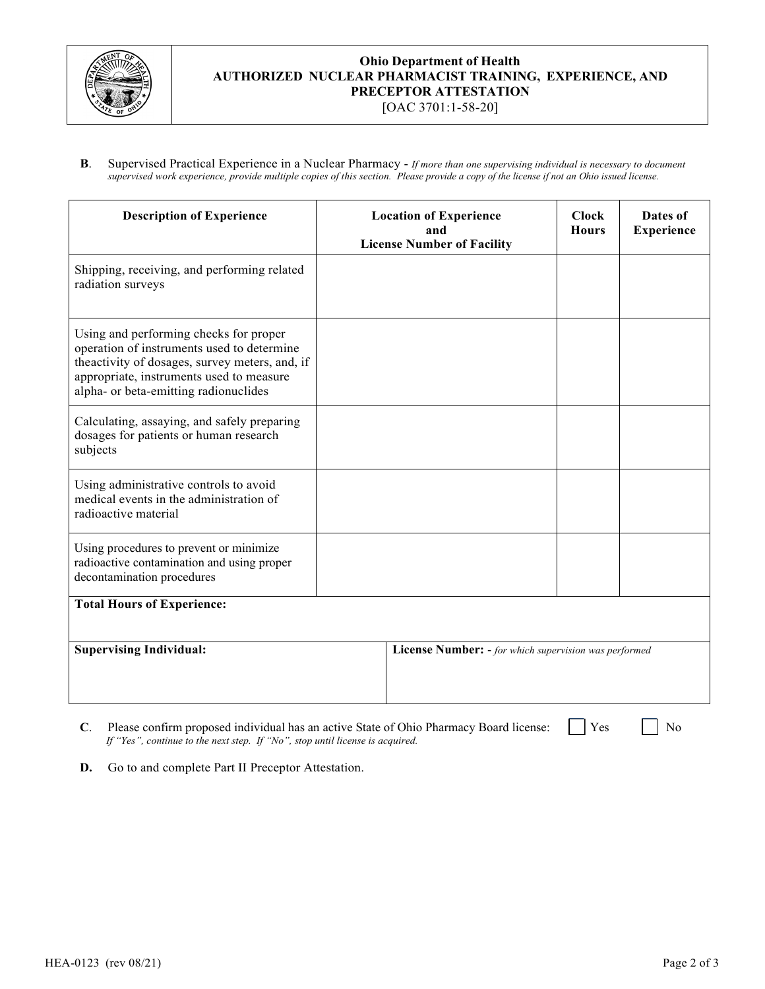

#### **Ohio Department of Health AUTHORIZED NUCLEAR PHARMACIST TRAINING, EXPERIENCE, AND PRECEPTOR ATTESTATION** [OAC 3701:1-58-20]

**B**. Supervised Practical Experience in a Nuclear Pharmacy - *If more than one supervising individual is necessary to document supervised work experience, provide multiple copies of this section. Please provide a copy of the license if not an Ohio issued license.*

| <b>Description of Experience</b>                                                                                                                                                                                            |  | <b>Location of Experience</b><br>and<br><b>License Number of Facility</b> | <b>Clock</b><br><b>Hours</b> | Dates of<br><b>Experience</b> |  |
|-----------------------------------------------------------------------------------------------------------------------------------------------------------------------------------------------------------------------------|--|---------------------------------------------------------------------------|------------------------------|-------------------------------|--|
| Shipping, receiving, and performing related<br>radiation surveys                                                                                                                                                            |  |                                                                           |                              |                               |  |
| Using and performing checks for proper<br>operation of instruments used to determine<br>theactivity of dosages, survey meters, and, if<br>appropriate, instruments used to measure<br>alpha- or beta-emitting radionuclides |  |                                                                           |                              |                               |  |
| Calculating, assaying, and safely preparing<br>dosages for patients or human research<br>subjects                                                                                                                           |  |                                                                           |                              |                               |  |
| Using administrative controls to avoid<br>medical events in the administration of<br>radioactive material                                                                                                                   |  |                                                                           |                              |                               |  |
| Using procedures to prevent or minimize<br>radioactive contamination and using proper<br>decontamination procedures                                                                                                         |  |                                                                           |                              |                               |  |
| <b>Total Hours of Experience:</b>                                                                                                                                                                                           |  |                                                                           |                              |                               |  |
| <b>Supervising Individual:</b>                                                                                                                                                                                              |  | License Number: - for which supervision was performed                     |                              |                               |  |

**C**. Please confirm proposed individual has an active State of Ohio Pharmacy Board license:  $\Box$  Yes  $\Box$  No *If "Yes", continue to the next step. If "No", stop until license is acquired.*

**D.** Go to and complete Part II Preceptor Attestation.